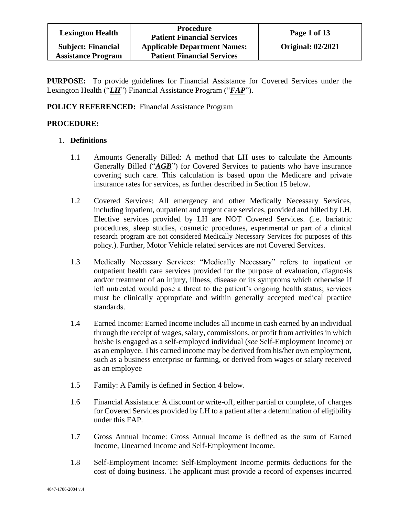| <b>Lexington Health</b>                                | <b>Procedure</b><br><b>Patient Financial Services</b>                    | Page 1 of 13             |
|--------------------------------------------------------|--------------------------------------------------------------------------|--------------------------|
| <b>Subject: Financial</b><br><b>Assistance Program</b> | <b>Applicable Department Names:</b><br><b>Patient Financial Services</b> | <b>Original: 02/2021</b> |

**PURPOSE:** To provide guidelines for Financial Assistance for Covered Services under the Lexington Health ("*LH*") Financial Assistance Program ("*FAP*").

**POLICY REFERENCED:** Financial Assistance Program

# **PROCEDURE:**

## 1. **Definitions**

- 1.1 Amounts Generally Billed: A method that LH uses to calculate the Amounts Generally Billed ("*AGB*") for Covered Services to patients who have insurance covering such care. This calculation is based upon the Medicare and private insurance rates for services, as further described in Section 15 below.
- 1.2 Covered Services: All emergency and other Medically Necessary Services, including inpatient, outpatient and urgent care services, provided and billed by LH. Elective services provided by LH are NOT Covered Services. (i.e. bariatric procedures, sleep studies, cosmetic procedures, experimental or part of a clinical research program are not considered Medically Necessary Services for purposes of this policy.). Further, Motor Vehicle related services are not Covered Services.
- 1.3 Medically Necessary Services: "Medically Necessary" refers to inpatient or outpatient health care services provided for the purpose of evaluation, diagnosis and/or treatment of an injury, illness, disease or its symptoms which otherwise if left untreated would pose a threat to the patient's ongoing health status; services must be clinically appropriate and within generally accepted medical practice standards.
- 1.4 Earned Income: Earned Income includes all income in cash earned by an individual through the receipt of wages, salary, commissions, or profit from activities in which he/she is engaged as a self-employed individual (*see* Self-Employment Income) or as an employee. This earned income may be derived from his/her own employment, such as a business enterprise or farming, or derived from wages or salary received as an employee
- 1.5 Family: A Family is defined in Section 4 below.
- 1.6 Financial Assistance: A discount or write-off, either partial or complete, of charges for Covered Services provided by LH to a patient after a determination of eligibility under this FAP.
- 1.7 Gross Annual Income: Gross Annual Income is defined as the sum of Earned Income, Unearned Income and Self-Employment Income.
- 1.8 Self-Employment Income: Self-Employment Income permits deductions for the cost of doing business. The applicant must provide a record of expenses incurred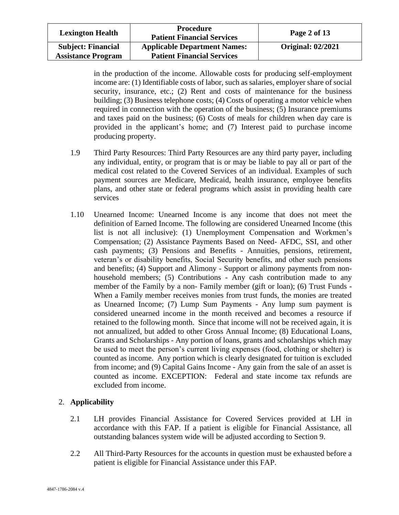| <b>Lexington Health</b>                                | <b>Procedure</b><br><b>Patient Financial Services</b>                    | Page 2 of 13             |
|--------------------------------------------------------|--------------------------------------------------------------------------|--------------------------|
| <b>Subject: Financial</b><br><b>Assistance Program</b> | <b>Applicable Department Names:</b><br><b>Patient Financial Services</b> | <b>Original: 02/2021</b> |

in the production of the income. Allowable costs for producing self-employment income are: (1) Identifiable costs of labor, such as salaries, employer share of social security, insurance, etc.; (2) Rent and costs of maintenance for the business building; (3) Business telephone costs; (4) Costs of operating a motor vehicle when required in connection with the operation of the business; (5) Insurance premiums and taxes paid on the business; (6) Costs of meals for children when day care is provided in the applicant's home; and (7) Interest paid to purchase income producing property.

- 1.9 Third Party Resources: Third Party Resources are any third party payer, including any individual, entity, or program that is or may be liable to pay all or part of the medical cost related to the Covered Services of an individual. Examples of such payment sources are Medicare, Medicaid, health insurance, employee benefits plans, and other state or federal programs which assist in providing health care services
- 1.10 Unearned Income: Unearned Income is any income that does not meet the definition of Earned Income. The following are considered Unearned Income (this list is not all inclusive): (1) Unemployment Compensation and Workmen's Compensation; (2) Assistance Payments Based on Need- AFDC, SSI, and other cash payments; (3) Pensions and Benefits - Annuities, pensions, retirement, veteran's or disability benefits, Social Security benefits, and other such pensions and benefits; (4) Support and Alimony - Support or alimony payments from nonhousehold members; (5) Contributions - Any cash contribution made to any member of the Family by a non- Family member (gift or loan); (6) Trust Funds - When a Family member receives monies from trust funds, the monies are treated as Unearned Income; (7) Lump Sum Payments - Any lump sum payment is considered unearned income in the month received and becomes a resource if retained to the following month. Since that income will not be received again, it is not annualized, but added to other Gross Annual Income; (8) Educational Loans, Grants and Scholarships - Any portion of loans, grants and scholarships which may be used to meet the person's current living expenses (food, clothing or shelter) is counted as income. Any portion which is clearly designated for tuition is excluded from income; and (9) Capital Gains Income - Any gain from the sale of an asset is counted as income. EXCEPTION: Federal and state income tax refunds are excluded from income.

# 2. **Applicability**

- 2.1 LH provides Financial Assistance for Covered Services provided at LH in accordance with this FAP. If a patient is eligible for Financial Assistance, all outstanding balances system wide will be adjusted according to Section 9.
- 2.2 All Third-Party Resources for the accounts in question must be exhausted before a patient is eligible for Financial Assistance under this FAP.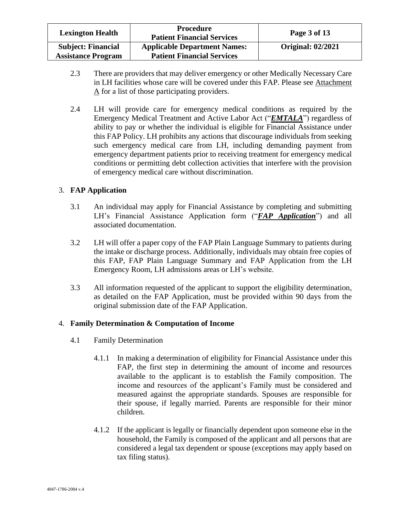| <b>Lexington Health</b>                                | <b>Procedure</b><br><b>Patient Financial Services</b>                    | Page 3 of 13             |
|--------------------------------------------------------|--------------------------------------------------------------------------|--------------------------|
| <b>Subject: Financial</b><br><b>Assistance Program</b> | <b>Applicable Department Names:</b><br><b>Patient Financial Services</b> | <b>Original: 02/2021</b> |

- 2.3 There are providers that may deliver emergency or other Medically Necessary Care in LH facilities whose care will be covered under this FAP. Please see Attachment A for a list of those participating providers.
- 2.4 LH will provide care for emergency medical conditions as required by the Emergency Medical Treatment and Active Labor Act ("*EMTALA*") regardless of ability to pay or whether the individual is eligible for Financial Assistance under this FAP Policy. LH prohibits any actions that discourage individuals from seeking such emergency medical care from LH, including demanding payment from emergency department patients prior to receiving treatment for emergency medical conditions or permitting debt collection activities that interfere with the provision of emergency medical care without discrimination.

# 3. **FAP Application**

- 3.1 An individual may apply for Financial Assistance by completing and submitting LH's Financial Assistance Application form ("*FAP Application*") and all associated documentation.
- 3.2 LH will offer a paper copy of the FAP Plain Language Summary to patients during the intake or discharge process. Additionally, individuals may obtain free copies of this FAP, FAP Plain Language Summary and FAP Application from the LH Emergency Room, LH admissions areas or LH's website.
- 3.3 All information requested of the applicant to support the eligibility determination, as detailed on the FAP Application, must be provided within 90 days from the original submission date of the FAP Application.

# 4. **Family Determination & Computation of Income**

- 4.1 Family Determination
	- 4.1.1 In making a determination of eligibility for Financial Assistance under this FAP, the first step in determining the amount of income and resources available to the applicant is to establish the Family composition. The income and resources of the applicant's Family must be considered and measured against the appropriate standards. Spouses are responsible for their spouse, if legally married. Parents are responsible for their minor children.
	- 4.1.2 If the applicant is legally or financially dependent upon someone else in the household, the Family is composed of the applicant and all persons that are considered a legal tax dependent or spouse (exceptions may apply based on tax filing status).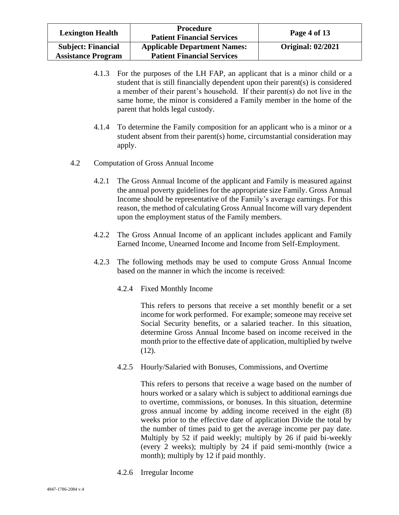| <b>Lexington Health</b>                                | <b>Procedure</b><br><b>Patient Financial Services</b>                    | Page 4 of 13             |
|--------------------------------------------------------|--------------------------------------------------------------------------|--------------------------|
| <b>Subject: Financial</b><br><b>Assistance Program</b> | <b>Applicable Department Names:</b><br><b>Patient Financial Services</b> | <b>Original: 02/2021</b> |

- 4.1.3 For the purposes of the LH FAP, an applicant that is a minor child or a student that is still financially dependent upon their parent(s) is considered a member of their parent's household. If their parent(s) do not live in the same home, the minor is considered a Family member in the home of the parent that holds legal custody.
- 4.1.4 To determine the Family composition for an applicant who is a minor or a student absent from their parent(s) home, circumstantial consideration may apply.
- 4.2 Computation of Gross Annual Income
	- 4.2.1 The Gross Annual Income of the applicant and Family is measured against the annual poverty guidelines for the appropriate size Family. Gross Annual Income should be representative of the Family's average earnings. For this reason, the method of calculating Gross Annual Income will vary dependent upon the employment status of the Family members.
	- 4.2.2 The Gross Annual Income of an applicant includes applicant and Family Earned Income, Unearned Income and Income from Self-Employment.
	- 4.2.3 The following methods may be used to compute Gross Annual Income based on the manner in which the income is received:
		- 4.2.4 Fixed Monthly Income

This refers to persons that receive a set monthly benefit or a set income for work performed. For example; someone may receive set Social Security benefits, or a salaried teacher. In this situation, determine Gross Annual Income based on income received in the month prior to the effective date of application, multiplied by twelve (12).

4.2.5 Hourly/Salaried with Bonuses, Commissions, and Overtime

This refers to persons that receive a wage based on the number of hours worked or a salary which is subject to additional earnings due to overtime, commissions, or bonuses. In this situation, determine gross annual income by adding income received in the eight (8) weeks prior to the effective date of application Divide the total by the number of times paid to get the average income per pay date. Multiply by 52 if paid weekly; multiply by 26 if paid bi-weekly (every 2 weeks); multiply by 24 if paid semi-monthly (twice a month); multiply by 12 if paid monthly.

4.2.6 Irregular Income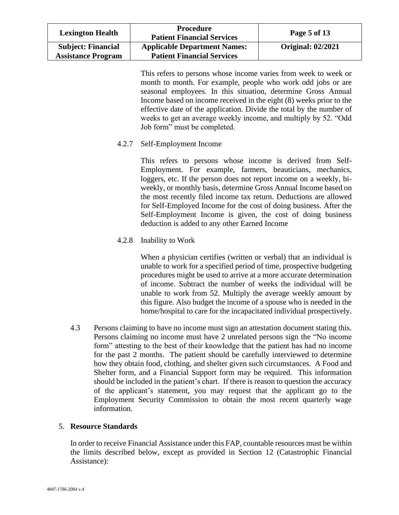| <b>Lexington Health</b>                                | Procedure<br><b>Patient Financial Services</b>                           | Page 5 of 13             |
|--------------------------------------------------------|--------------------------------------------------------------------------|--------------------------|
| <b>Subject: Financial</b><br><b>Assistance Program</b> | <b>Applicable Department Names:</b><br><b>Patient Financial Services</b> | <b>Original: 02/2021</b> |

This refers to persons whose income varies from week to week or month to month. For example, people who work odd jobs or are seasonal employees. In this situation, determine Gross Annual Income based on income received in the eight (8) weeks prior to the effective date of the application. Divide the total by the number of weeks to get an average weekly income, and multiply by 52. "Odd Job form" must be completed.

4.2.7 Self-Employment Income

This refers to persons whose income is derived from Self-Employment. For example, farmers, beauticians, mechanics, loggers, etc. If the person does not report income on a weekly, biweekly, or monthly basis, determine Gross Annual Income based on the most recently filed income tax return. Deductions are allowed for Self-Employed Income for the cost of doing business. After the Self-Employment Income is given, the cost of doing business deduction is added to any other Earned Income

4.2.8 Inability to Work

When a physician certifies (written or verbal) that an individual is unable to work for a specified period of time, prospective budgeting procedures might be used to arrive at a more accurate determination of income. Subtract the number of weeks the individual will be unable to work from 52. Multiply the average weekly amount by this figure. Also budget the income of a spouse who is needed in the home/hospital to care for the incapacitated individual prospectively.

4.3 Persons claiming to have no income must sign an attestation document stating this. Persons claiming no income must have 2 unrelated persons sign the "No income form" attesting to the best of their knowledge that the patient has had no income for the past 2 months. The patient should be carefully interviewed to determine how they obtain food, clothing, and shelter given such circumstances. A Food and Shelter form, and a Financial Support form may be required. This information should be included in the patient's chart. If there is reason to question the accuracy of the applicant's statement, you may request that the applicant go to the Employment Security Commission to obtain the most recent quarterly wage information.

### 5. **Resource Standards**

In order to receive Financial Assistance under this FAP, countable resources must be within the limits described below, except as provided in Section 12 (Catastrophic Financial Assistance):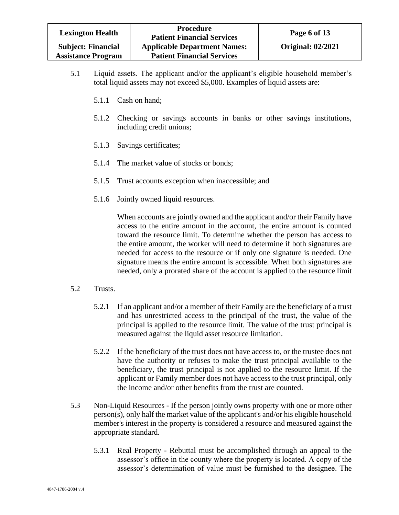| <b>Lexington Health</b>                                | <b>Procedure</b><br><b>Patient Financial Services</b>                    | Page 6 of 13             |
|--------------------------------------------------------|--------------------------------------------------------------------------|--------------------------|
| <b>Subject: Financial</b><br><b>Assistance Program</b> | <b>Applicable Department Names:</b><br><b>Patient Financial Services</b> | <b>Original: 02/2021</b> |

- 5.1 Liquid assets. The applicant and/or the applicant's eligible household member's total liquid assets may not exceed \$5,000. Examples of liquid assets are:
	- 5.1.1 Cash on hand;
	- 5.1.2 Checking or savings accounts in banks or other savings institutions, including credit unions;
	- 5.1.3 Savings certificates;
	- 5.1.4 The market value of stocks or bonds;
	- 5.1.5 Trust accounts exception when inaccessible; and
	- 5.1.6 Jointly owned liquid resources.

When accounts are jointly owned and the applicant and/or their Family have access to the entire amount in the account, the entire amount is counted toward the resource limit. To determine whether the person has access to the entire amount, the worker will need to determine if both signatures are needed for access to the resource or if only one signature is needed. One signature means the entire amount is accessible. When both signatures are needed, only a prorated share of the account is applied to the resource limit

- 5.2 Trusts.
	- 5.2.1 If an applicant and/or a member of their Family are the beneficiary of a trust and has unrestricted access to the principal of the trust, the value of the principal is applied to the resource limit. The value of the trust principal is measured against the liquid asset resource limitation.
	- 5.2.2 If the beneficiary of the trust does not have access to, or the trustee does not have the authority or refuses to make the trust principal available to the beneficiary, the trust principal is not applied to the resource limit. If the applicant or Family member does not have access to the trust principal, only the income and/or other benefits from the trust are counted.
- 5.3 Non-Liquid Resources If the person jointly owns property with one or more other person(s), only half the market value of the applicant's and/or his eligible household member's interest in the property is considered a resource and measured against the appropriate standard.
	- 5.3.1 Real Property Rebuttal must be accomplished through an appeal to the assessor's office in the county where the property is located. A copy of the assessor's determination of value must be furnished to the designee. The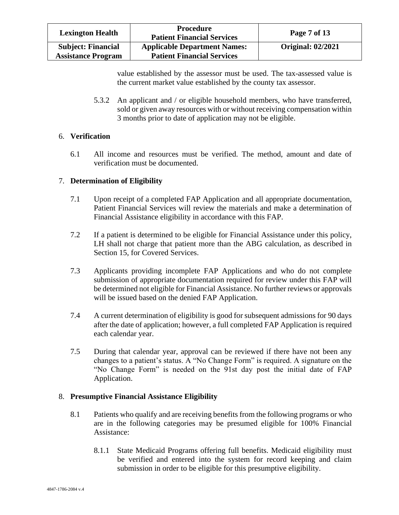| <b>Lexington Health</b>                                | <b>Procedure</b><br><b>Patient Financial Services</b>                    | Page 7 of 13             |
|--------------------------------------------------------|--------------------------------------------------------------------------|--------------------------|
| <b>Subject: Financial</b><br><b>Assistance Program</b> | <b>Applicable Department Names:</b><br><b>Patient Financial Services</b> | <b>Original: 02/2021</b> |

value established by the assessor must be used. The tax-assessed value is the current market value established by the county tax assessor.

5.3.2 An applicant and / or eligible household members, who have transferred, sold or given away resources with or without receiving compensation within 3 months prior to date of application may not be eligible.

## 6. **Verification**

6.1 All income and resources must be verified. The method, amount and date of verification must be documented.

# 7. **Determination of Eligibility**

- 7.1 Upon receipt of a completed FAP Application and all appropriate documentation, Patient Financial Services will review the materials and make a determination of Financial Assistance eligibility in accordance with this FAP.
- 7.2 If a patient is determined to be eligible for Financial Assistance under this policy, LH shall not charge that patient more than the ABG calculation, as described in Section 15, for Covered Services.
- 7.3 Applicants providing incomplete FAP Applications and who do not complete submission of appropriate documentation required for review under this FAP will be determined not eligible for Financial Assistance. No further reviews or approvals will be issued based on the denied FAP Application.
- 7.4 A current determination of eligibility is good for subsequent admissions for 90 days after the date of application; however, a full completed FAP Application is required each calendar year.
- 7.5 During that calendar year, approval can be reviewed if there have not been any changes to a patient's status. A "No Change Form" is required. A signature on the "No Change Form" is needed on the 91st day post the initial date of FAP Application.

### 8. **Presumptive Financial Assistance Eligibility**

- 8.1 Patients who qualify and are receiving benefits from the following programs or who are in the following categories may be presumed eligible for 100% Financial Assistance:
	- 8.1.1 State Medicaid Programs offering full benefits. Medicaid eligibility must be verified and entered into the system for record keeping and claim submission in order to be eligible for this presumptive eligibility.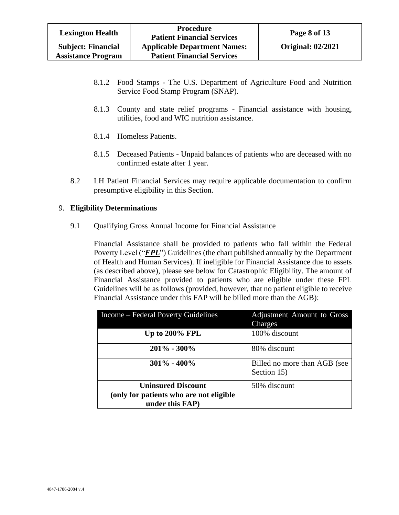| <b>Lexington Health</b>                                | <b>Procedure</b><br><b>Patient Financial Services</b>                    | Page 8 of 13             |
|--------------------------------------------------------|--------------------------------------------------------------------------|--------------------------|
| <b>Subject: Financial</b><br><b>Assistance Program</b> | <b>Applicable Department Names:</b><br><b>Patient Financial Services</b> | <b>Original: 02/2021</b> |

- 8.1.2 Food Stamps The U.S. Department of Agriculture Food and Nutrition Service Food Stamp Program (SNAP).
- 8.1.3 County and state relief programs Financial assistance with housing, utilities, food and WIC nutrition assistance.
- 8.1.4 Homeless Patients.
- 8.1.5 Deceased Patients Unpaid balances of patients who are deceased with no confirmed estate after 1 year.
- 8.2 LH Patient Financial Services may require applicable documentation to confirm presumptive eligibility in this Section.

## 9. **Eligibility Determinations**

9.1 Qualifying Gross Annual Income for Financial Assistance

Financial Assistance shall be provided to patients who fall within the Federal Poverty Level ("*FPL*") Guidelines (the chart published annually by the Department of Health and Human Services). If ineligible for Financial Assistance due to assets (as described above), please see below for Catastrophic Eligibility. The amount of Financial Assistance provided to patients who are eligible under these FPL Guidelines will be as follows (provided, however, that no patient eligible to receive Financial Assistance under this FAP will be billed more than the AGB):

| Income – Federal Poverty Guidelines      | Adjustment Amount to Gross<br>Charges       |
|------------------------------------------|---------------------------------------------|
| Up to $200\%$ FPL                        | 100% discount                               |
| $201\% - 300\%$                          | 80% discount                                |
| $301\% - 400\%$                          | Billed no more than AGB (see<br>Section 15) |
| <b>Uninsured Discount</b>                | 50% discount                                |
| (only for patients who are not eligible) |                                             |
| under this FAP)                          |                                             |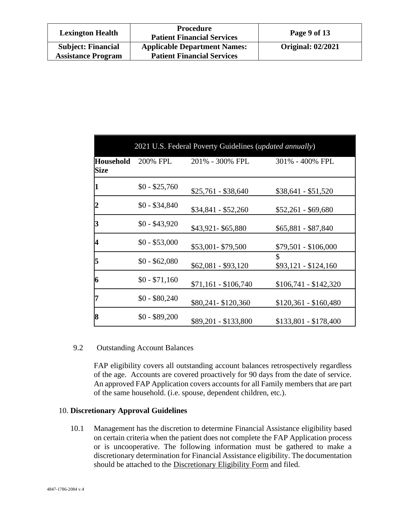| <b>Lexington Health</b>                                | <b>Procedure</b><br><b>Patient Financial Services</b>                    | Page 9 of 13             |
|--------------------------------------------------------|--------------------------------------------------------------------------|--------------------------|
| <b>Subject: Financial</b><br><b>Assistance Program</b> | <b>Applicable Department Names:</b><br><b>Patient Financial Services</b> | <b>Original: 02/2021</b> |

| 2021 U.S. Federal Poverty Guidelines (updated annually) |                |                      |                            |
|---------------------------------------------------------|----------------|----------------------|----------------------------|
| Household<br>Size                                       | 200% FPL       | 201% - 300% FPL      | 301% - 400% FPL            |
| 1                                                       | $$0 - $25,760$ | $$25,761 - $38,640$  | $$38,641 - $51,520$        |
| 2                                                       | $$0 - $34,840$ | $$34,841 - $52,260$  | $$52,261 - $69,680$        |
| 3                                                       | $$0 - $43,920$ | \$43,921-\$65,880    | $$65,881 - $87,840$        |
| 4                                                       | $$0 - $53,000$ | \$53,001-\$79,500    | $$79,501 - $106,000$       |
| 5                                                       | $$0 - $62,080$ | $$62,081 - $93,120$  | \$<br>$$93,121 - $124,160$ |
| 6                                                       | $$0 - $71,160$ | $$71,161 - $106,740$ | $$106,741 - $142,320$      |
| 17                                                      | $$0 - $80,240$ | \$80,241 - \$120,360 | $$120,361 - $160,480$      |
| 8                                                       | $$0 - $89,200$ | \$89,201 - \$133,800 | \$133,801 - \$178,400      |

### 9.2 Outstanding Account Balances

FAP eligibility covers all outstanding account balances retrospectively regardless of the age. Accounts are covered proactively for 90 days from the date of service. An approved FAP Application covers accounts for all Family members that are part of the same household. (i.e. spouse, dependent children, etc.).

#### 10. **Discretionary Approval Guidelines**

10.1 Management has the discretion to determine Financial Assistance eligibility based on certain criteria when the patient does not complete the FAP Application process or is uncooperative. The following information must be gathered to make a discretionary determination for Financial Assistance eligibility. The documentation should be attached to the Discretionary Eligibility Form and filed.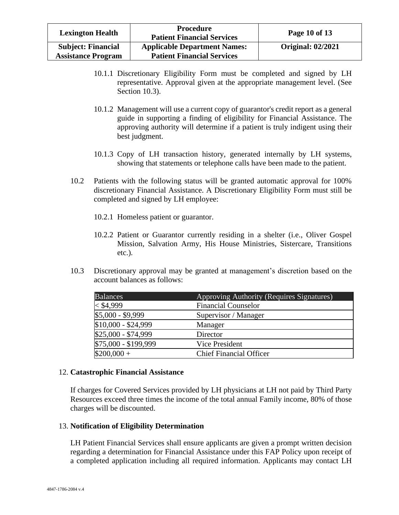| <b>Lexington Health</b>                                | Procedure<br><b>Patient Financial Services</b>                           | Page 10 of 13            |
|--------------------------------------------------------|--------------------------------------------------------------------------|--------------------------|
| <b>Subject: Financial</b><br><b>Assistance Program</b> | <b>Applicable Department Names:</b><br><b>Patient Financial Services</b> | <b>Original: 02/2021</b> |

- 10.1.1 Discretionary Eligibility Form must be completed and signed by LH representative. Approval given at the appropriate management level. (See Section 10.3).
- 10.1.2 Management will use a current copy of guarantor's credit report as a general guide in supporting a finding of eligibility for Financial Assistance. The approving authority will determine if a patient is truly indigent using their best judgment.
- 10.1.3 Copy of LH transaction history, generated internally by LH systems, showing that statements or telephone calls have been made to the patient.
- 10.2 Patients with the following status will be granted automatic approval for 100% discretionary Financial Assistance. A Discretionary Eligibility Form must still be completed and signed by LH employee:
	- 10.2.1 Homeless patient or guarantor.
	- 10.2.2 Patient or Guarantor currently residing in a shelter (i.e., Oliver Gospel Mission, Salvation Army, His House Ministries, Sistercare, Transitions etc.).
- 10.3 Discretionary approval may be granted at management's discretion based on the account balances as follows:

| <b>Balances</b>      | Approving Authority (Requires Signatures) |
|----------------------|-------------------------------------------|
| $<$ \$4,999          | <b>Financial Counselor</b>                |
| \$5,000 - \$9,999    | Supervisor / Manager                      |
| \$10,000 - \$24,999  | Manager                                   |
| \$25,000 - \$74,999  | Director                                  |
| \$75,000 - \$199,999 | Vice President                            |
| $$200,000 +$         | <b>Chief Financial Officer</b>            |

### 12. **Catastrophic Financial Assistance**

If charges for Covered Services provided by LH physicians at LH not paid by Third Party Resources exceed three times the income of the total annual Family income, 80% of those charges will be discounted.

### 13. **Notification of Eligibility Determination**

LH Patient Financial Services shall ensure applicants are given a prompt written decision regarding a determination for Financial Assistance under this FAP Policy upon receipt of a completed application including all required information. Applicants may contact LH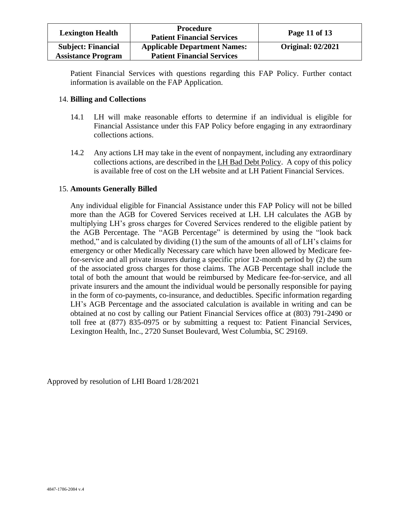| <b>Lexington Health</b>                                | <b>Procedure</b><br><b>Patient Financial Services</b>                    | Page 11 of 13            |
|--------------------------------------------------------|--------------------------------------------------------------------------|--------------------------|
| <b>Subject: Financial</b><br><b>Assistance Program</b> | <b>Applicable Department Names:</b><br><b>Patient Financial Services</b> | <b>Original: 02/2021</b> |

Patient Financial Services with questions regarding this FAP Policy. Further contact information is available on the FAP Application.

### 14. **Billing and Collections**

- 14.1 LH will make reasonable efforts to determine if an individual is eligible for Financial Assistance under this FAP Policy before engaging in any extraordinary collections actions.
- 14.2 Any actions LH may take in the event of nonpayment, including any extraordinary collections actions, are described in the LH Bad Debt Policy. A copy of this policy is available free of cost on the LH website and at LH Patient Financial Services.

### 15. **Amounts Generally Billed**

Any individual eligible for Financial Assistance under this FAP Policy will not be billed more than the AGB for Covered Services received at LH. LH calculates the AGB by multiplying LH's gross charges for Covered Services rendered to the eligible patient by the AGB Percentage. The "AGB Percentage" is determined by using the "look back method," and is calculated by dividing (1) the sum of the amounts of all of LH's claims for emergency or other Medically Necessary care which have been allowed by Medicare feefor-service and all private insurers during a specific prior 12-month period by (2) the sum of the associated gross charges for those claims. The AGB Percentage shall include the total of both the amount that would be reimbursed by Medicare fee-for-service, and all private insurers and the amount the individual would be personally responsible for paying in the form of co-payments, co-insurance, and deductibles. Specific information regarding LH's AGB Percentage and the associated calculation is available in writing and can be obtained at no cost by calling our Patient Financial Services office at (803) 791-2490 or toll free at (877) 835-0975 or by submitting a request to: Patient Financial Services, Lexington Health, Inc., 2720 Sunset Boulevard, West Columbia, SC 29169.

Approved by resolution of LHI Board 1/28/2021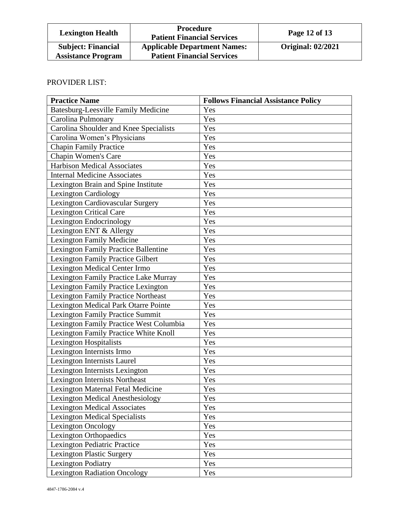| <b>Lexington Health</b>                                | <b>Procedure</b><br><b>Patient Financial Services</b>                    | Page 12 of 13            |
|--------------------------------------------------------|--------------------------------------------------------------------------|--------------------------|
| <b>Subject: Financial</b><br><b>Assistance Program</b> | <b>Applicable Department Names:</b><br><b>Patient Financial Services</b> | <b>Original: 02/2021</b> |

# PROVIDER LIST:

| <b>Practice Name</b>                        | <b>Follows Financial Assistance Policy</b> |
|---------------------------------------------|--------------------------------------------|
| Batesburg-Leesville Family Medicine         | Yes                                        |
| Carolina Pulmonary                          | Yes                                        |
| Carolina Shoulder and Knee Specialists      | Yes                                        |
| Carolina Women's Physicians                 | Yes                                        |
| <b>Chapin Family Practice</b>               | Yes                                        |
| Chapin Women's Care                         | Yes                                        |
| <b>Harbison Medical Associates</b>          | Yes                                        |
| <b>Internal Medicine Associates</b>         | Yes                                        |
| Lexington Brain and Spine Institute         | Yes                                        |
| <b>Lexington Cardiology</b>                 | Yes                                        |
| Lexington Cardiovascular Surgery            | Yes                                        |
| <b>Lexington Critical Care</b>              | Yes                                        |
| Lexington Endocrinology                     | Yes                                        |
| Lexington ENT & Allergy                     | Yes                                        |
| <b>Lexington Family Medicine</b>            | Yes                                        |
| <b>Lexington Family Practice Ballentine</b> | Yes                                        |
| Lexington Family Practice Gilbert           | Yes                                        |
| <b>Lexington Medical Center Irmo</b>        | Yes                                        |
| Lexington Family Practice Lake Murray       | Yes                                        |
| Lexington Family Practice Lexington         | Yes                                        |
| <b>Lexington Family Practice Northeast</b>  | Yes                                        |
| Lexington Medical Park Otarre Pointe        | Yes                                        |
| <b>Lexington Family Practice Summit</b>     | Yes                                        |
| Lexington Family Practice West Columbia     | Yes                                        |
| Lexington Family Practice White Knoll       | Yes                                        |
| Lexington Hospitalists                      | Yes                                        |
| Lexington Internists Irmo                   | Yes                                        |
| Lexington Internists Laurel                 | Yes                                        |
| Lexington Internists Lexington              | Yes                                        |
| Lexington Internists Northeast              | Yes                                        |
| <b>Lexington Maternal Fetal Medicine</b>    | Yes                                        |
| <b>Lexington Medical Anesthesiology</b>     | Yes                                        |
| <b>Lexington Medical Associates</b>         | Yes                                        |
| <b>Lexington Medical Specialists</b>        | Yes                                        |
| <b>Lexington Oncology</b>                   | Yes                                        |
| Lexington Orthopaedics                      | Yes                                        |
| Lexington Pediatric Practice                | Yes                                        |
| Lexington Plastic Surgery                   | Yes                                        |
| <b>Lexington Podiatry</b>                   | Yes                                        |
| <b>Lexington Radiation Oncology</b>         | Yes                                        |